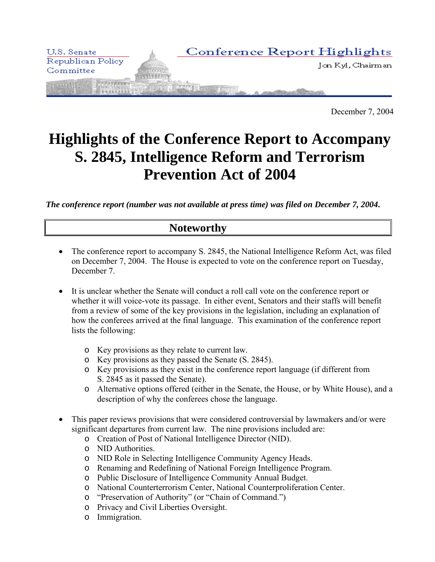

December 7, 2004

# **Highlights of the Conference Report to Accompany S. 2845, Intelligence Reform and Terrorism Prevention Act of 2004**

*The conference report (number was not available at press time) was filed on December 7, 2004***.**

# **Noteworthy**

- The conference report to accompany S. 2845, the National Intelligence Reform Act, was filed on December 7, 2004. The House is expected to vote on the conference report on Tuesday, December 7.
- It is unclear whether the Senate will conduct a roll call vote on the conference report or whether it will voice-vote its passage. In either event, Senators and their staffs will benefit from a review of some of the key provisions in the legislation, including an explanation of how the conferees arrived at the final language. This examination of the conference report lists the following:
	- o Key provisions as they relate to current law.
	- o Key provisions as they passed the Senate (S. 2845).
	- o Key provisions as they exist in the conference report language (if different from S. 2845 as it passed the Senate).
	- o Alternative options offered (either in the Senate, the House, or by White House), and a description of why the conferees chose the language.
- This paper reviews provisions that were considered controversial by lawmakers and/or were significant departures from current law. The nine provisions included are:
	- o Creation of Post of National Intelligence Director (NID).
	- o NID Authorities.
	- o NID Role in Selecting Intelligence Community Agency Heads.
	- o Renaming and Redefining of National Foreign Intelligence Program.
	- o Public Disclosure of Intelligence Community Annual Budget.
	- o National Counterterrorism Center, National Counterproliferation Center.
	- o "Preservation of Authority" (or "Chain of Command.")
	- o Privacy and Civil Liberties Oversight.
	- o Immigration.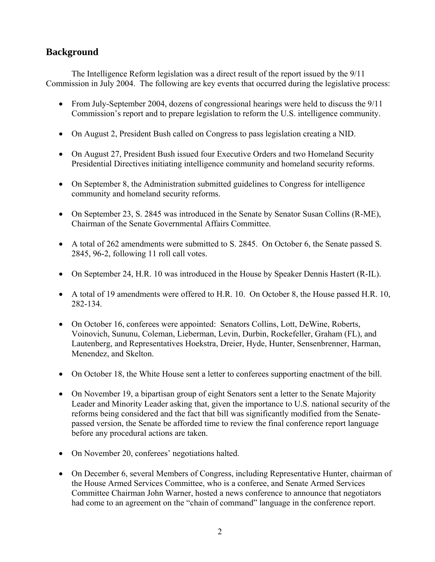# **Background**

The Intelligence Reform legislation was a direct result of the report issued by the 9/11 Commission in July 2004. The following are key events that occurred during the legislative process:

- From July-September 2004, dozens of congressional hearings were held to discuss the 9/11 Commission's report and to prepare legislation to reform the U.S. intelligence community.
- On August 2, President Bush called on Congress to pass legislation creating a NID.
- On August 27, President Bush issued four Executive Orders and two Homeland Security Presidential Directives initiating intelligence community and homeland security reforms.
- On September 8, the Administration submitted guidelines to Congress for intelligence community and homeland security reforms.
- On September 23, S. 2845 was introduced in the Senate by Senator Susan Collins (R-ME), Chairman of the Senate Governmental Affairs Committee.
- A total of 262 amendments were submitted to S. 2845. On October 6, the Senate passed S. 2845, 96-2, following 11 roll call votes.
- On September 24, H.R. 10 was introduced in the House by Speaker Dennis Hastert (R-IL).
- A total of 19 amendments were offered to H.R. 10. On October 8, the House passed H.R. 10, 282-134.
- On October 16, conferees were appointed: Senators Collins, Lott, DeWine, Roberts, Voinovich, Sununu, Coleman, Lieberman, Levin, Durbin, Rockefeller, Graham (FL), and Lautenberg, and Representatives Hoekstra, Dreier, Hyde, Hunter, Sensenbrenner, Harman, Menendez, and Skelton.
- On October 18, the White House sent a letter to conferees supporting enactment of the bill.
- On November 19, a bipartisan group of eight Senators sent a letter to the Senate Majority Leader and Minority Leader asking that, given the importance to U.S. national security of the reforms being considered and the fact that bill was significantly modified from the Senatepassed version, the Senate be afforded time to review the final conference report language before any procedural actions are taken.
- On November 20, conferees' negotiations halted.
- On December 6, several Members of Congress, including Representative Hunter, chairman of the House Armed Services Committee, who is a conferee, and Senate Armed Services Committee Chairman John Warner, hosted a news conference to announce that negotiators had come to an agreement on the "chain of command" language in the conference report.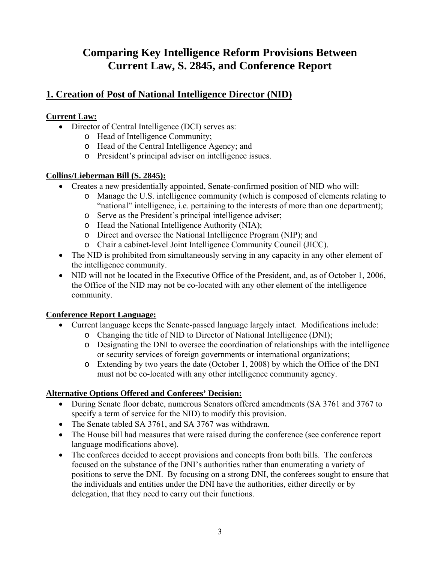# **Comparing Key Intelligence Reform Provisions Between Current Law, S. 2845, and Conference Report**

# **1. Creation of Post of National Intelligence Director (NID)**

#### **Current Law:**

- Director of Central Intelligence (DCI) serves as:
	- o Head of Intelligence Community;
	- o Head of the Central Intelligence Agency; and
	- o President's principal adviser on intelligence issues.

#### **Collins/Lieberman Bill (S. 2845):**

- Creates a new presidentially appointed, Senate-confirmed position of NID who will:
	- o Manage the U.S. intelligence community (which is composed of elements relating to "national" intelligence, i.e. pertaining to the interests of more than one department);
	- o Serve as the President's principal intelligence adviser;
	- o Head the National Intelligence Authority (NIA);
	- o Direct and oversee the National Intelligence Program (NIP); and
	- o Chair a cabinet-level Joint Intelligence Community Council (JICC).
- The NID is prohibited from simultaneously serving in any capacity in any other element of the intelligence community.
- NID will not be located in the Executive Office of the President, and, as of October 1, 2006, the Office of the NID may not be co-located with any other element of the intelligence community.

## **Conference Report Language:**

- Current language keeps the Senate-passed language largely intact. Modifications include:
	- o Changing the title of NID to Director of National Intelligence (DNI);
	- o Designating the DNI to oversee the coordination of relationships with the intelligence or security services of foreign governments or international organizations;
	- o Extending by two years the date (October 1, 2008) by which the Office of the DNI must not be co-located with any other intelligence community agency.

- During Senate floor debate, numerous Senators offered amendments (SA 3761 and 3767 to specify a term of service for the NID) to modify this provision.
- The Senate tabled SA 3761, and SA 3767 was withdrawn.
- The House bill had measures that were raised during the conference (see conference report language modifications above).
- The conferees decided to accept provisions and concepts from both bills. The conferees focused on the substance of the DNI's authorities rather than enumerating a variety of positions to serve the DNI. By focusing on a strong DNI, the conferees sought to ensure that the individuals and entities under the DNI have the authorities, either directly or by delegation, that they need to carry out their functions.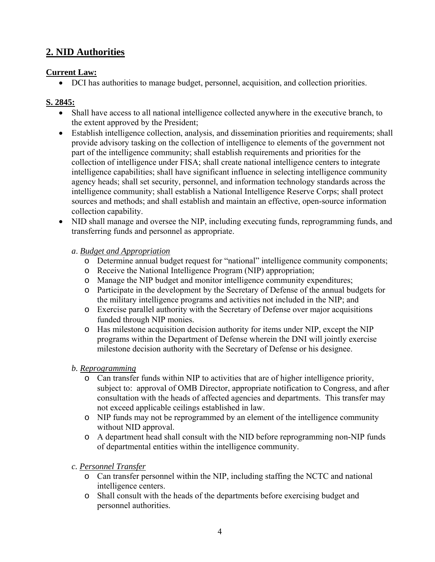# **2. NID Authorities**

#### **Current Law:**

• DCI has authorities to manage budget, personnel, acquisition, and collection priorities.

## **S. 2845:**

- Shall have access to all national intelligence collected anywhere in the executive branch, to the extent approved by the President;
- Establish intelligence collection, analysis, and dissemination priorities and requirements; shall provide advisory tasking on the collection of intelligence to elements of the government not part of the intelligence community; shall establish requirements and priorities for the collection of intelligence under FISA; shall create national intelligence centers to integrate intelligence capabilities; shall have significant influence in selecting intelligence community agency heads; shall set security, personnel, and information technology standards across the intelligence community; shall establish a National Intelligence Reserve Corps; shall protect sources and methods; and shall establish and maintain an effective, open-source information collection capability.
- NID shall manage and oversee the NIP, including executing funds, reprogramming funds, and transferring funds and personnel as appropriate.

#### *a*. *Budget and Appropriation*

- o Determine annual budget request for "national" intelligence community components;
- o Receive the National Intelligence Program (NIP) appropriation;
- o Manage the NIP budget and monitor intelligence community expenditures;
- o Participate in the development by the Secretary of Defense of the annual budgets for the military intelligence programs and activities not included in the NIP; and
- o Exercise parallel authority with the Secretary of Defense over major acquisitions funded through NIP monies.
- o Has milestone acquisition decision authority for items under NIP, except the NIP programs within the Department of Defense wherein the DNI will jointly exercise milestone decision authority with the Secretary of Defense or his designee.

## *b. Reprogramming*

- o Can transfer funds within NIP to activities that are of higher intelligence priority, subject to: approval of OMB Director, appropriate notification to Congress, and after consultation with the heads of affected agencies and departments. This transfer may not exceed applicable ceilings established in law.
- o NIP funds may not be reprogrammed by an element of the intelligence community without NID approval.
- o A department head shall consult with the NID before reprogramming non-NIP funds of departmental entities within the intelligence community.

## *c. Personnel Transfer*

- o Can transfer personnel within the NIP, including staffing the NCTC and national intelligence centers.
- o Shall consult with the heads of the departments before exercising budget and personnel authorities.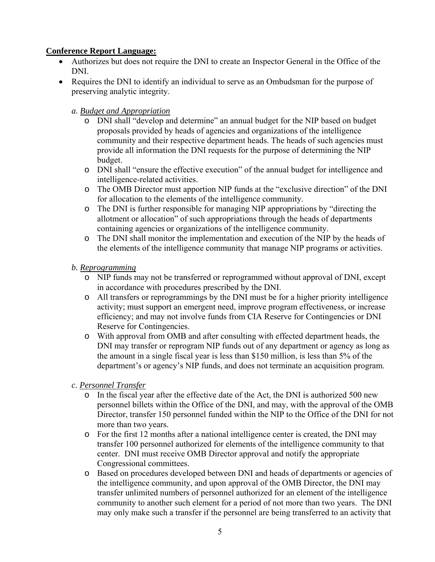#### **Conference Report Language:**

- Authorizes but does not require the DNI to create an Inspector General in the Office of the DNI.
- Requires the DNI to identify an individual to serve as an Ombudsman for the purpose of preserving analytic integrity.

#### *a. Budget and Appropriation*

- o DNI shall "develop and determine" an annual budget for the NIP based on budget proposals provided by heads of agencies and organizations of the intelligence community and their respective department heads. The heads of such agencies must provide all information the DNI requests for the purpose of determining the NIP budget.
- o DNI shall "ensure the effective execution" of the annual budget for intelligence and intelligence-related activities.
- o The OMB Director must apportion NIP funds at the "exclusive direction" of the DNI for allocation to the elements of the intelligence community.
- o The DNI is further responsible for managing NIP appropriations by "directing the allotment or allocation" of such appropriations through the heads of departments containing agencies or organizations of the intelligence community.
- o The DNI shall monitor the implementation and execution of the NIP by the heads of the elements of the intelligence community that manage NIP programs or activities.

#### *b. Reprogramming*

- o NIP funds may not be transferred or reprogrammed without approval of DNI, except in accordance with procedures prescribed by the DNI.
- o All transfers or reprogrammings by the DNI must be for a higher priority intelligence activity; must support an emergent need, improve program effectiveness, or increase efficiency; and may not involve funds from CIA Reserve for Contingencies or DNI Reserve for Contingencies.
- o With approval from OMB and after consulting with effected department heads, the DNI may transfer or reprogram NIP funds out of any department or agency as long as the amount in a single fiscal year is less than \$150 million, is less than 5% of the department's or agency's NIP funds, and does not terminate an acquisition program.

#### *c. Personnel Transfer*

- o In the fiscal year after the effective date of the Act, the DNI is authorized 500 new personnel billets within the Office of the DNI, and may, with the approval of the OMB Director, transfer 150 personnel funded within the NIP to the Office of the DNI for not more than two years.
- o For the first 12 months after a national intelligence center is created, the DNI may transfer 100 personnel authorized for elements of the intelligence community to that center. DNI must receive OMB Director approval and notify the appropriate Congressional committees.
- o Based on procedures developed between DNI and heads of departments or agencies of the intelligence community, and upon approval of the OMB Director, the DNI may transfer unlimited numbers of personnel authorized for an element of the intelligence community to another such element for a period of not more than two years. The DNI may only make such a transfer if the personnel are being transferred to an activity that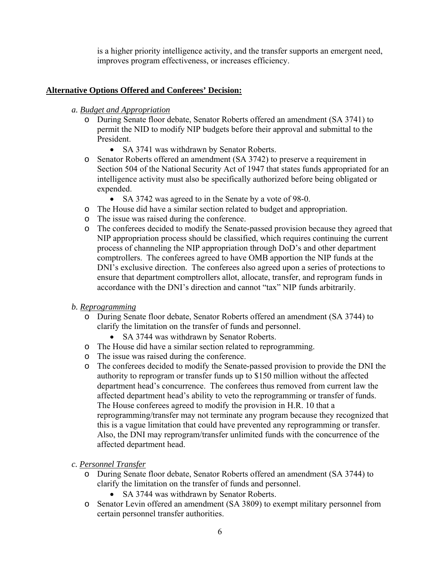is a higher priority intelligence activity, and the transfer supports an emergent need, improves program effectiveness, or increases efficiency.

#### **Alternative Options Offered and Conferees' Decision:**

#### *a. Budget and Appropriation*

- o During Senate floor debate, Senator Roberts offered an amendment (SA 3741) to permit the NID to modify NIP budgets before their approval and submittal to the President.
	- SA 3741 was withdrawn by Senator Roberts.
- o Senator Roberts offered an amendment (SA 3742) to preserve a requirement in Section 504 of the National Security Act of 1947 that states funds appropriated for an intelligence activity must also be specifically authorized before being obligated or expended.
	- SA 3742 was agreed to in the Senate by a vote of 98-0.
- o The House did have a similar section related to budget and appropriation.
- o The issue was raised during the conference.
- o The conferees decided to modify the Senate-passed provision because they agreed that NIP appropriation process should be classified, which requires continuing the current process of channeling the NIP appropriation through DoD's and other department comptrollers. The conferees agreed to have OMB apportion the NIP funds at the DNI's exclusive direction. The conferees also agreed upon a series of protections to ensure that department comptrollers allot, allocate, transfer, and reprogram funds in accordance with the DNI's direction and cannot "tax" NIP funds arbitrarily.

#### *b. Reprogramming*

- o During Senate floor debate, Senator Roberts offered an amendment (SA 3744) to clarify the limitation on the transfer of funds and personnel.
	- SA 3744 was withdrawn by Senator Roberts.
- o The House did have a similar section related to reprogramming.
- o The issue was raised during the conference.
- o The conferees decided to modify the Senate-passed provision to provide the DNI the authority to reprogram or transfer funds up to \$150 million without the affected department head's concurrence. The conferees thus removed from current law the affected department head's ability to veto the reprogramming or transfer of funds. The House conferees agreed to modify the provision in H.R. 10 that a reprogramming/transfer may not terminate any program because they recognized that this is a vague limitation that could have prevented any reprogramming or transfer. Also, the DNI may reprogram/transfer unlimited funds with the concurrence of the affected department head.
- *c. Personnel Transfer*
	- o During Senate floor debate, Senator Roberts offered an amendment (SA 3744) to clarify the limitation on the transfer of funds and personnel.
		- SA 3744 was withdrawn by Senator Roberts.
	- o Senator Levin offered an amendment (SA 3809) to exempt military personnel from certain personnel transfer authorities.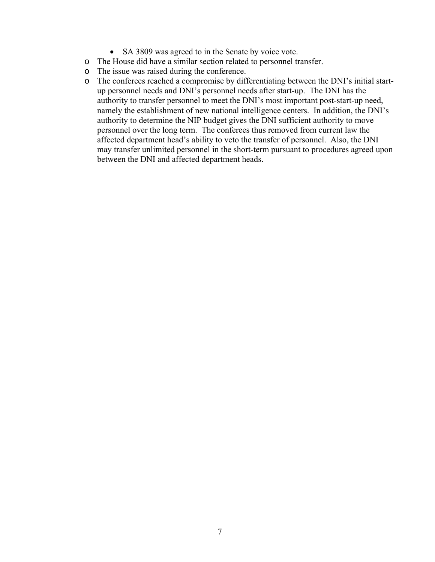- SA 3809 was agreed to in the Senate by voice vote.
- o The House did have a similar section related to personnel transfer.
- o The issue was raised during the conference.
- o The conferees reached a compromise by differentiating between the DNI's initial startup personnel needs and DNI's personnel needs after start-up. The DNI has the authority to transfer personnel to meet the DNI's most important post-start-up need, namely the establishment of new national intelligence centers. In addition, the DNI's authority to determine the NIP budget gives the DNI sufficient authority to move personnel over the long term. The conferees thus removed from current law the affected department head's ability to veto the transfer of personnel. Also, the DNI may transfer unlimited personnel in the short-term pursuant to procedures agreed upon between the DNI and affected department heads.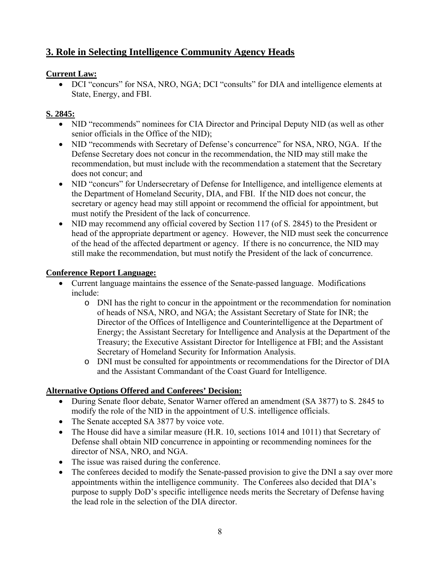# **3. Role in Selecting Intelligence Community Agency Heads**

#### **Current Law:**

• DCI "concurs" for NSA, NRO, NGA; DCI "consults" for DIA and intelligence elements at State, Energy, and FBI.

## **S. 2845:**

- NID "recommends" nominees for CIA Director and Principal Deputy NID (as well as other senior officials in the Office of the NID);
- NID "recommends with Secretary of Defense's concurrence" for NSA, NRO, NGA. If the Defense Secretary does not concur in the recommendation, the NID may still make the recommendation, but must include with the recommendation a statement that the Secretary does not concur; and
- NID "concurs" for Undersecretary of Defense for Intelligence, and intelligence elements at the Department of Homeland Security, DIA, and FBI. If the NID does not concur, the secretary or agency head may still appoint or recommend the official for appointment, but must notify the President of the lack of concurrence.
- NID may recommend any official covered by Section 117 (of S. 2845) to the President or head of the appropriate department or agency. However, the NID must seek the concurrence of the head of the affected department or agency. If there is no concurrence, the NID may still make the recommendation, but must notify the President of the lack of concurrence.

#### **Conference Report Language:**

- Current language maintains the essence of the Senate-passed language. Modifications include:
	- o DNI has the right to concur in the appointment or the recommendation for nomination of heads of NSA, NRO, and NGA; the Assistant Secretary of State for INR; the Director of the Offices of Intelligence and Counterintelligence at the Department of Energy; the Assistant Secretary for Intelligence and Analysis at the Department of the Treasury; the Executive Assistant Director for Intelligence at FBI; and the Assistant Secretary of Homeland Security for Information Analysis.
	- o DNI must be consulted for appointments or recommendations for the Director of DIA and the Assistant Commandant of the Coast Guard for Intelligence.

- During Senate floor debate, Senator Warner offered an amendment (SA 3877) to S. 2845 to modify the role of the NID in the appointment of U.S. intelligence officials.
- The Senate accepted SA 3877 by voice vote.
- The House did have a similar measure (H.R. 10, sections 1014 and 1011) that Secretary of Defense shall obtain NID concurrence in appointing or recommending nominees for the director of NSA, NRO, and NGA.
- The issue was raised during the conference.
- The conferees decided to modify the Senate-passed provision to give the DNI a say over more appointments within the intelligence community. The Conferees also decided that DIA's purpose to supply DoD's specific intelligence needs merits the Secretary of Defense having the lead role in the selection of the DIA director.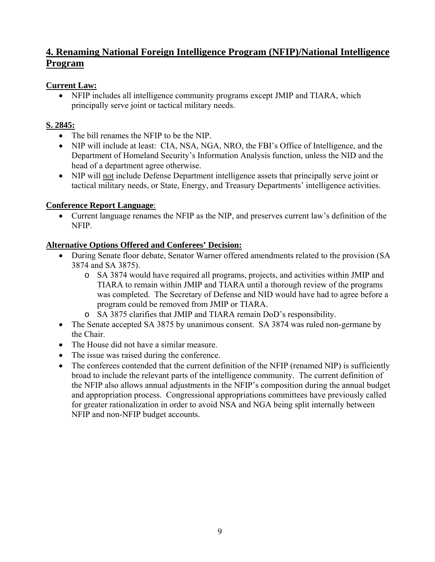# **4. Renaming National Foreign Intelligence Program (NFIP)/National Intelligence Program**

## **Current Law:**

• NFIP includes all intelligence community programs except JMIP and TIARA, which principally serve joint or tactical military needs.

## **S. 2845:**

- The bill renames the NFIP to be the NIP.
- NIP will include at least: CIA, NSA, NGA, NRO, the FBI's Office of Intelligence, and the Department of Homeland Security's Information Analysis function, unless the NID and the head of a department agree otherwise.
- NIP will not include Defense Department intelligence assets that principally serve joint or tactical military needs, or State, Energy, and Treasury Departments' intelligence activities.

## **Conference Report Language**:

• Current language renames the NFIP as the NIP, and preserves current law's definition of the NFIP.

- During Senate floor debate, Senator Warner offered amendments related to the provision (SA 3874 and SA 3875).
	- o SA 3874 would have required all programs, projects, and activities within JMIP and TIARA to remain within JMIP and TIARA until a thorough review of the programs was completed. The Secretary of Defense and NID would have had to agree before a program could be removed from JMIP or TIARA.
	- o SA 3875 clarifies that JMIP and TIARA remain DoD's responsibility.
- The Senate accepted SA 3875 by unanimous consent. SA 3874 was ruled non-germane by the Chair.
- The House did not have a similar measure.
- The issue was raised during the conference.
- The conferees contended that the current definition of the NFIP (renamed NIP) is sufficiently broad to include the relevant parts of the intelligence community. The current definition of the NFIP also allows annual adjustments in the NFIP's composition during the annual budget and appropriation process. Congressional appropriations committees have previously called for greater rationalization in order to avoid NSA and NGA being split internally between NFIP and non-NFIP budget accounts.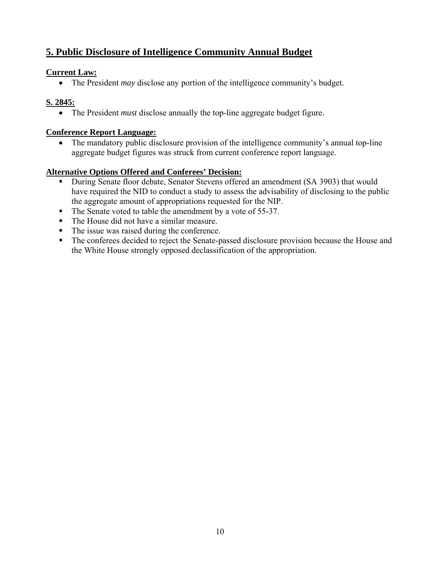# **5. Public Disclosure of Intelligence Community Annual Budget**

#### **Current Law:**

• The President *may* disclose any portion of the intelligence community's budget.

## **S. 2845:**

• The President *must* disclose annually the top-line aggregate budget figure.

## **Conference Report Language:**

• The mandatory public disclosure provision of the intelligence community's annual top-line aggregate budget figures was struck from current conference report language.

- During Senate floor debate, Senator Stevens offered an amendment (SA 3903) that would have required the NID to conduct a study to assess the advisability of disclosing to the public the aggregate amount of appropriations requested for the NIP.
- The Senate voted to table the amendment by a vote of 55-37.
- The House did not have a similar measure.
- The issue was raised during the conference.
- The conferees decided to reject the Senate-passed disclosure provision because the House and the White House strongly opposed declassification of the appropriation.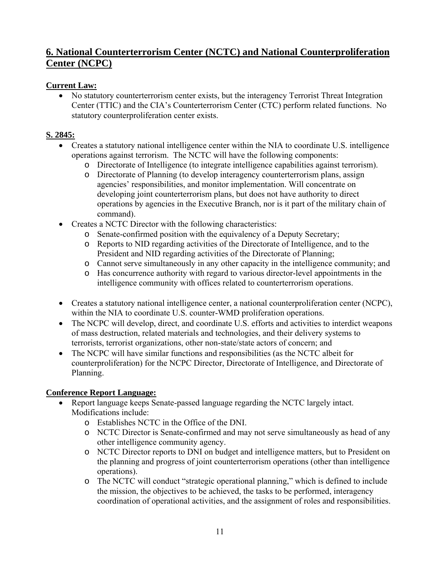# **6. National Counterterrorism Center (NCTC) and National Counterproliferation Center (NCPC)**

## **Current Law:**

• No statutory counterterrorism center exists, but the interagency Terrorist Threat Integration Center (TTIC) and the CIA's Counterterrorism Center (CTC) perform related functions. No statutory counterproliferation center exists.

## **S. 2845:**

- Creates a statutory national intelligence center within the NIA to coordinate U.S. intelligence operations against terrorism. The NCTC will have the following components:
	- o Directorate of Intelligence (to integrate intelligence capabilities against terrorism).
	- o Directorate of Planning (to develop interagency counterterrorism plans, assign agencies' responsibilities, and monitor implementation. Will concentrate on developing joint counterterrorism plans, but does not have authority to direct operations by agencies in the Executive Branch, nor is it part of the military chain of command).
- Creates a NCTC Director with the following characteristics:
	- o Senate-confirmed position with the equivalency of a Deputy Secretary;
	- o Reports to NID regarding activities of the Directorate of Intelligence, and to the President and NID regarding activities of the Directorate of Planning;
	- o Cannot serve simultaneously in any other capacity in the intelligence community; and
	- o Has concurrence authority with regard to various director-level appointments in the intelligence community with offices related to counterterrorism operations.
- Creates a statutory national intelligence center, a national counterproliferation center (NCPC), within the NIA to coordinate U.S. counter-WMD proliferation operations.
- The NCPC will develop, direct, and coordinate U.S. efforts and activities to interdict weapons of mass destruction, related materials and technologies, and their delivery systems to terrorists, terrorist organizations, other non-state/state actors of concern; and
- The NCPC will have similar functions and responsibilities (as the NCTC albeit for counterproliferation) for the NCPC Director, Directorate of Intelligence, and Directorate of Planning.

## **Conference Report Language:**

- Report language keeps Senate-passed language regarding the NCTC largely intact. Modifications include:
	- o Establishes NCTC in the Office of the DNI.
	- o NCTC Director is Senate-confirmed and may not serve simultaneously as head of any other intelligence community agency.
	- o NCTC Director reports to DNI on budget and intelligence matters, but to President on the planning and progress of joint counterterrorism operations (other than intelligence operations).
	- o The NCTC will conduct "strategic operational planning," which is defined to include the mission, the objectives to be achieved, the tasks to be performed, interagency coordination of operational activities, and the assignment of roles and responsibilities.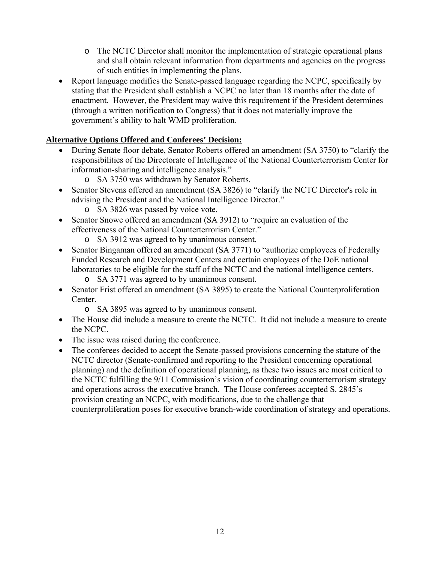- o The NCTC Director shall monitor the implementation of strategic operational plans and shall obtain relevant information from departments and agencies on the progress of such entities in implementing the plans.
- Report language modifies the Senate-passed language regarding the NCPC, specifically by stating that the President shall establish a NCPC no later than 18 months after the date of enactment. However, the President may waive this requirement if the President determines (through a written notification to Congress) that it does not materially improve the government's ability to halt WMD proliferation.

- During Senate floor debate, Senator Roberts offered an amendment (SA 3750) to "clarify the responsibilities of the Directorate of Intelligence of the National Counterterrorism Center for information-sharing and intelligence analysis."
	- o SA 3750 was withdrawn by Senator Roberts.
- Senator Stevens offered an amendment (SA 3826) to "clarify the NCTC Director's role in advising the President and the National Intelligence Director."
	- o SA 3826 was passed by voice vote.
- Senator Snowe offered an amendment (SA 3912) to "require an evaluation of the effectiveness of the National Counterterrorism Center."
	- o SA 3912 was agreed to by unanimous consent.
- Senator Bingaman offered an amendment (SA 3771) to "authorize employees of Federally Funded Research and Development Centers and certain employees of the DoE national laboratories to be eligible for the staff of the NCTC and the national intelligence centers.
	- o SA 3771 was agreed to by unanimous consent.
- Senator Frist offered an amendment (SA 3895) to create the National Counterproliferation Center.
	- o SA 3895 was agreed to by unanimous consent.
- The House did include a measure to create the NCTC. It did not include a measure to create the NCPC.
- The issue was raised during the conference.
- The conferees decided to accept the Senate-passed provisions concerning the stature of the NCTC director (Senate-confirmed and reporting to the President concerning operational planning) and the definition of operational planning, as these two issues are most critical to the NCTC fulfilling the 9/11 Commission's vision of coordinating counterterrorism strategy and operations across the executive branch. The House conferees accepted S. 2845's provision creating an NCPC, with modifications, due to the challenge that counterproliferation poses for executive branch-wide coordination of strategy and operations.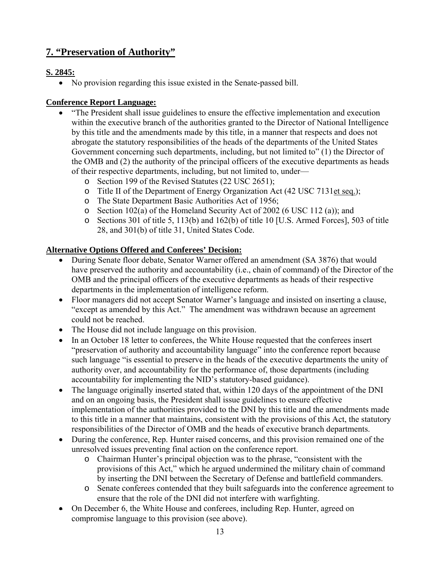# **7. "Preservation of Authority"**

## **S. 2845:**

• No provision regarding this issue existed in the Senate-passed bill.

## **Conference Report Language:**

- "The President shall issue guidelines to ensure the effective implementation and execution within the executive branch of the authorities granted to the Director of National Intelligence by this title and the amendments made by this title, in a manner that respects and does not abrogate the statutory responsibilities of the heads of the departments of the United States Government concerning such departments, including, but not limited to" (1) the Director of the OMB and (2) the authority of the principal officers of the executive departments as heads of their respective departments, including, but not limited to, under
	- o Section 199 of the Revised Statutes (22 USC 2651);
	- o Title II of the Department of Energy Organization Act (42 USC 7131et seq.);
	- o The State Department Basic Authorities Act of 1956;
	- o Section 102(a) of the Homeland Security Act of 2002 (6 USC 112 (a)); and
	- o Sections 301 of title 5, 113(b) and 162(b) of title 10 [U.S. Armed Forces], 503 of title 28, and 301(b) of title 31, United States Code.

- During Senate floor debate, Senator Warner offered an amendment (SA 3876) that would have preserved the authority and accountability (i.e., chain of command) of the Director of the OMB and the principal officers of the executive departments as heads of their respective departments in the implementation of intelligence reform.
- Floor managers did not accept Senator Warner's language and insisted on inserting a clause, "except as amended by this Act." The amendment was withdrawn because an agreement could not be reached.
- The House did not include language on this provision.
- In an October 18 letter to conferees, the White House requested that the conferees insert "preservation of authority and accountability language" into the conference report because such language "is essential to preserve in the heads of the executive departments the unity of authority over, and accountability for the performance of, those departments (including accountability for implementing the NID's statutory-based guidance).
- The language originally inserted stated that, within 120 days of the appointment of the DNI and on an ongoing basis, the President shall issue guidelines to ensure effective implementation of the authorities provided to the DNI by this title and the amendments made to this title in a manner that maintains, consistent with the provisions of this Act, the statutory responsibilities of the Director of OMB and the heads of executive branch departments.
- During the conference, Rep. Hunter raised concerns, and this provision remained one of the unresolved issues preventing final action on the conference report.
	- o Chairman Hunter's principal objection was to the phrase, "consistent with the provisions of this Act," which he argued undermined the military chain of command by inserting the DNI between the Secretary of Defense and battlefield commanders.
	- o Senate conferees contended that they built safeguards into the conference agreement to ensure that the role of the DNI did not interfere with warfighting.
- On December 6, the White House and conferees, including Rep. Hunter, agreed on compromise language to this provision (see above).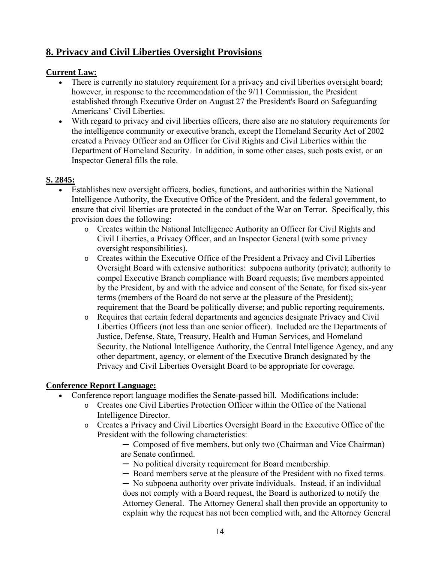# **8. Privacy and Civil Liberties Oversight Provisions**

#### **Current Law:**

- There is currently no statutory requirement for a privacy and civil liberties oversight board; however, in response to the recommendation of the 9/11 Commission, the President established through Executive Order on August 27 the President's Board on Safeguarding Americans' Civil Liberties.
- With regard to privacy and civil liberties officers, there also are no statutory requirements for the intelligence community or executive branch, except the Homeland Security Act of 2002 created a Privacy Officer and an Officer for Civil Rights and Civil Liberties within the Department of Homeland Security. In addition, in some other cases, such posts exist, or an Inspector General fills the role.

#### **S. 2845:**

- Establishes new oversight officers, bodies, functions, and authorities within the National Intelligence Authority, the Executive Office of the President, and the federal government, to ensure that civil liberties are protected in the conduct of the War on Terror. Specifically, this provision does the following:
	- o Creates within the National Intelligence Authority an Officer for Civil Rights and Civil Liberties, a Privacy Officer, and an Inspector General (with some privacy oversight responsibilities).
	- o Creates within the Executive Office of the President a Privacy and Civil Liberties Oversight Board with extensive authorities: subpoena authority (private); authority to compel Executive Branch compliance with Board requests; five members appointed by the President, by and with the advice and consent of the Senate, for fixed six-year terms (members of the Board do not serve at the pleasure of the President); requirement that the Board be politically diverse; and public reporting requirements.
	- o Requires that certain federal departments and agencies designate Privacy and Civil Liberties Officers (not less than one senior officer). Included are the Departments of Justice, Defense, State, Treasury, Health and Human Services, and Homeland Security, the National Intelligence Authority, the Central Intelligence Agency, and any other department, agency, or element of the Executive Branch designated by the Privacy and Civil Liberties Oversight Board to be appropriate for coverage.

#### **Conference Report Language:**

- Conference report language modifies the Senate-passed bill. Modifications include:
	- o Creates one Civil Liberties Protection Officer within the Office of the National Intelligence Director.
	- o Creates a Privacy and Civil Liberties Oversight Board in the Executive Office of the President with the following characteristics:
		- ─ Composed of five members, but only two (Chairman and Vice Chairman) are Senate confirmed.
		- ─ No political diversity requirement for Board membership.
		- ─ Board members serve at the pleasure of the President with no fixed terms.

─ No subpoena authority over private individuals. Instead, if an individual does not comply with a Board request, the Board is authorized to notify the Attorney General. The Attorney General shall then provide an opportunity to explain why the request has not been complied with, and the Attorney General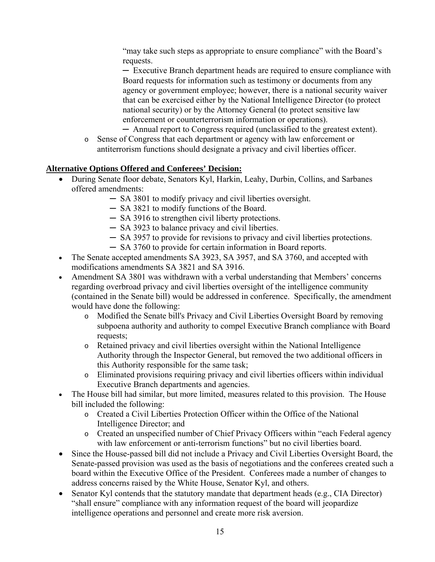"may take such steps as appropriate to ensure compliance" with the Board's requests.

─ Executive Branch department heads are required to ensure compliance with Board requests for information such as testimony or documents from any agency or government employee; however, there is a national security waiver that can be exercised either by the National Intelligence Director (to protect national security) or by the Attorney General (to protect sensitive law enforcement or counterterrorism information or operations).

─ Annual report to Congress required (unclassified to the greatest extent).

o Sense of Congress that each department or agency with law enforcement or antiterrorism functions should designate a privacy and civil liberties officer.

- During Senate floor debate, Senators Kyl, Harkin, Leahy, Durbin, Collins, and Sarbanes offered amendments:
	- ─ SA 3801 to modify privacy and civil liberties oversight.
	- ─ SA 3821 to modify functions of the Board.
	- ─ SA 3916 to strengthen civil liberty protections.
	- ─ SA 3923 to balance privacy and civil liberties.
	- ─ SA 3957 to provide for revisions to privacy and civil liberties protections.
	- ─ SA 3760 to provide for certain information in Board reports.
- The Senate accepted amendments SA 3923, SA 3957, and SA 3760, and accepted with modifications amendments SA 3821 and SA 3916.
- Amendment SA 3801 was withdrawn with a verbal understanding that Members' concerns regarding overbroad privacy and civil liberties oversight of the intelligence community (contained in the Senate bill) would be addressed in conference. Specifically, the amendment would have done the following:
	- o Modified the Senate bill's Privacy and Civil Liberties Oversight Board by removing subpoena authority and authority to compel Executive Branch compliance with Board requests;
	- o Retained privacy and civil liberties oversight within the National Intelligence Authority through the Inspector General, but removed the two additional officers in this Authority responsible for the same task;
	- o Eliminated provisions requiring privacy and civil liberties officers within individual Executive Branch departments and agencies.
- The House bill had similar, but more limited, measures related to this provision. The House bill included the following:
	- o Created a Civil Liberties Protection Officer within the Office of the National Intelligence Director; and
	- o Created an unspecified number of Chief Privacy Officers within "each Federal agency with law enforcement or anti-terrorism functions" but no civil liberties board.
- Since the House-passed bill did not include a Privacy and Civil Liberties Oversight Board, the Senate-passed provision was used as the basis of negotiations and the conferees created such a board within the Executive Office of the President. Conferees made a number of changes to address concerns raised by the White House, Senator Kyl, and others.
- Senator Kyl contends that the statutory mandate that department heads (e.g., CIA Director) "shall ensure" compliance with any information request of the board will jeopardize intelligence operations and personnel and create more risk aversion.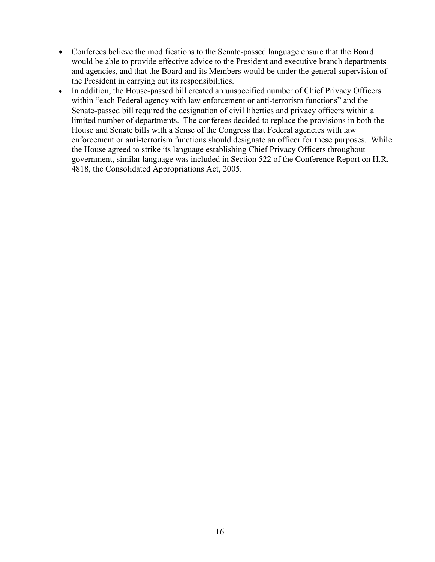- Conferees believe the modifications to the Senate-passed language ensure that the Board would be able to provide effective advice to the President and executive branch departments and agencies, and that the Board and its Members would be under the general supervision of the President in carrying out its responsibilities.
- In addition, the House-passed bill created an unspecified number of Chief Privacy Officers within "each Federal agency with law enforcement or anti-terrorism functions" and the Senate-passed bill required the designation of civil liberties and privacy officers within a limited number of departments. The conferees decided to replace the provisions in both the House and Senate bills with a Sense of the Congress that Federal agencies with law enforcement or anti-terrorism functions should designate an officer for these purposes. While the House agreed to strike its language establishing Chief Privacy Officers throughout government, similar language was included in Section 522 of the Conference Report on H.R. 4818, the Consolidated Appropriations Act, 2005.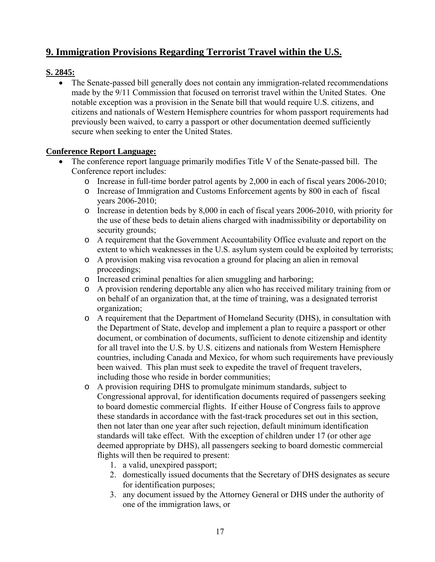# **9. Immigration Provisions Regarding Terrorist Travel within the U.S.**

## **S. 2845:**

• The Senate-passed bill generally does not contain any immigration-related recommendations made by the 9/11 Commission that focused on terrorist travel within the United States. One notable exception was a provision in the Senate bill that would require U.S. citizens, and citizens and nationals of Western Hemisphere countries for whom passport requirements had previously been waived, to carry a passport or other documentation deemed sufficiently secure when seeking to enter the United States.

#### **Conference Report Language:**

- The conference report language primarily modifies Title V of the Senate-passed bill. The Conference report includes:
	- o Increase in full-time border patrol agents by 2,000 in each of fiscal years 2006-2010;
	- o Increase of Immigration and Customs Enforcement agents by 800 in each of fiscal years 2006-2010;
	- o Increase in detention beds by 8,000 in each of fiscal years 2006-2010, with priority for the use of these beds to detain aliens charged with inadmissibility or deportability on security grounds;
	- o A requirement that the Government Accountability Office evaluate and report on the extent to which weaknesses in the U.S. asylum system could be exploited by terrorists;
	- o A provision making visa revocation a ground for placing an alien in removal proceedings;
	- o Increased criminal penalties for alien smuggling and harboring;
	- o A provision rendering deportable any alien who has received military training from or on behalf of an organization that, at the time of training, was a designated terrorist organization;
	- o A requirement that the Department of Homeland Security (DHS), in consultation with the Department of State, develop and implement a plan to require a passport or other document, or combination of documents, sufficient to denote citizenship and identity for all travel into the U.S. by U.S. citizens and nationals from Western Hemisphere countries, including Canada and Mexico, for whom such requirements have previously been waived. This plan must seek to expedite the travel of frequent travelers, including those who reside in border communities;
	- o A provision requiring DHS to promulgate minimum standards, subject to Congressional approval, for identification documents required of passengers seeking to board domestic commercial flights. If either House of Congress fails to approve these standards in accordance with the fast-track procedures set out in this section, then not later than one year after such rejection, default minimum identification standards will take effect. With the exception of children under 17 (or other age deemed appropriate by DHS), all passengers seeking to board domestic commercial flights will then be required to present:
		- 1. a valid, unexpired passport;
		- 2. domestically issued documents that the Secretary of DHS designates as secure for identification purposes;
		- 3. any document issued by the Attorney General or DHS under the authority of one of the immigration laws, or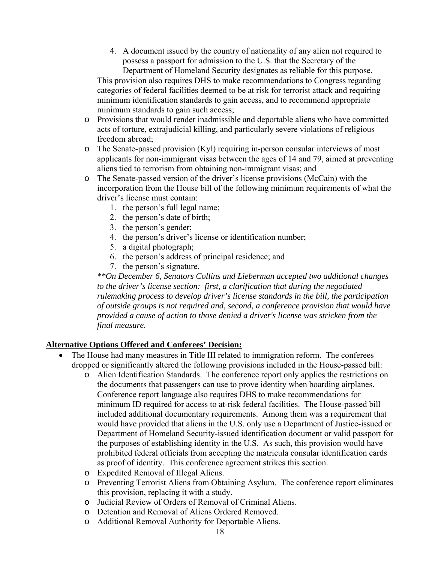4. A document issued by the country of nationality of any alien not required to possess a passport for admission to the U.S. that the Secretary of the Department of Homeland Security designates as reliable for this purpose.

This provision also requires DHS to make recommendations to Congress regarding categories of federal facilities deemed to be at risk for terrorist attack and requiring minimum identification standards to gain access, and to recommend appropriate minimum standards to gain such access;

- o Provisions that would render inadmissible and deportable aliens who have committed acts of torture, extrajudicial killing, and particularly severe violations of religious freedom abroad;
- o The Senate-passed provision (Kyl) requiring in-person consular interviews of most applicants for non-immigrant visas between the ages of 14 and 79, aimed at preventing aliens tied to terrorism from obtaining non-immigrant visas; and
- o The Senate-passed version of the driver's license provisions (McCain) with the incorporation from the House bill of the following minimum requirements of what the driver's license must contain:
	- 1. the person's full legal name;
	- 2. the person's date of birth;
	- 3. the person's gender;
	- 4. the person's driver's license or identification number;
	- 5. a digital photograph;
	- 6. the person's address of principal residence; and
	- 7. the person's signature.

*\*\*On December 6, Senators Collins and Lieberman accepted two additional changes to the driver's license section: first, a clarification that during the negotiated rulemaking process to develop driver's license standards in the bill, the participation of outside groups is not required and, second, a conference provision that would have provided a cause of action to those denied a driver's license was stricken from the final measure.*

- The House had many measures in Title III related to immigration reform. The conferees dropped or significantly altered the following provisions included in the House-passed bill:
	- o Alien Identification Standards. The conference report only applies the restrictions on the documents that passengers can use to prove identity when boarding airplanes. Conference report language also requires DHS to make recommendations for minimum ID required for access to at-risk federal facilities. The House-passed bill included additional documentary requirements. Among them was a requirement that would have provided that aliens in the U.S. only use a Department of Justice-issued or Department of Homeland Security-issued identification document or valid passport for the purposes of establishing identity in the U.S. As such, this provision would have prohibited federal officials from accepting the matricula consular identification cards as proof of identity. This conference agreement strikes this section.
	- o Expedited Removal of Illegal Aliens.
	- o Preventing Terrorist Aliens from Obtaining Asylum. The conference report eliminates this provision, replacing it with a study.
	- o Judicial Review of Orders of Removal of Criminal Aliens.
	- o Detention and Removal of Aliens Ordered Removed.
	- o Additional Removal Authority for Deportable Aliens.